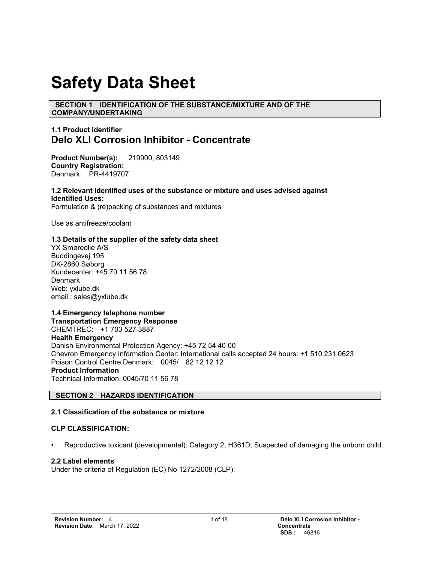# **Safety Data Sheet**

 **SECTION 1 IDENTIFICATION OF THE SUBSTANCE/MIXTURE AND OF THE COMPANY/UNDERTAKING**

# **1.1 Product identifier Delo XLI Corrosion Inhibitor - Concentrate**

**Product Number(s):** 219900, 803149 **Country Registration:** Denmark: PR-4419707

**1.2 Relevant identified uses of the substance or mixture and uses advised against Identified Uses:**  Formulation & (re)packing of substances and mixtures

Use as antifreeze/coolant

#### **1.3 Details of the supplier of the safety data sheet**

YX Smøreolie A/S Buddingevej 195 DK-2860 Søborg Kundecenter: +45 70 11 56 78 **Denmark** Web: yxlube.dk email : sales@yxlube.dk

# **1.4 Emergency telephone number**

**Transportation Emergency Response** CHEMTREC: +1 703 527 3887 **Health Emergency** Danish Environmental Protection Agency: +45 72 54 40 00 Chevron Emergency Information Center: International calls accepted 24 hours: +1 510 231 0623 Poison Control Centre Denmark: 0045/ 82 12 12 12 **Product Information**  Technical Information: 0045/70 11 56 78

# **SECTION 2 HAZARDS IDENTIFICATION**

# **2.1 Classification of the substance or mixture**

#### **CLP CLASSIFICATION:**

• Reproductive toxicant (developmental): Category 2, H361D; Suspected of damaging the unborn child.

#### **2.2 Label elements**

Under the criteria of Regulation (EC) No 1272/2008 (CLP):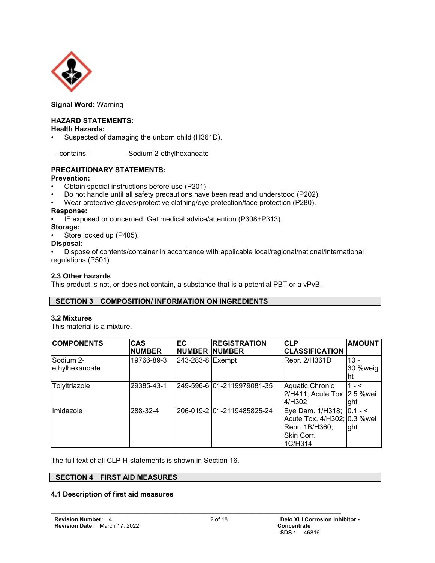

**Signal Word:** Warning

# **HAZARD STATEMENTS:**

#### **Health Hazards:**

Suspected of damaging the unborn child (H361D).

- contains: Sodium 2-ethylhexanoate

# **PRECAUTIONARY STATEMENTS:**

#### **Prevention:**

- Obtain special instructions before use (P201).
- Do not handle until all safety precautions have been read and understood (P202).
- Wear protective gloves/protective clothing/eye protection/face protection (P280).

## **Response:**

• IF exposed or concerned: Get medical advice/attention (P308+P313).

#### **Storage:**

Store locked up (P405).

#### **Disposal:**

• Dispose of contents/container in accordance with applicable local/regional/national/international regulations (P501).

## **2.3 Other hazards**

This product is not, or does not contain, a substance that is a potential PBT or a vPvB.

## **SECTION 3 COMPOSITION/ INFORMATION ON INGREDIENTS**

#### **3.2 Mixtures**

This material is a mixture.

| <b>COMPONENTS</b>           | <b>CAS</b><br><b>NUMBER</b> | <b>EC</b><br><b>NUMBER</b> | <b>REGISTRATION</b><br><b>INUMBER</b> | <b>CLP</b><br><b>CLASSIFICATION</b>                                                                | <b>AMOUNT</b>            |
|-----------------------------|-----------------------------|----------------------------|---------------------------------------|----------------------------------------------------------------------------------------------------|--------------------------|
| Sodium 2-<br>ethylhexanoate | 19766-89-3                  | 243-283-8 Exempt           |                                       | Repr. 2/H361D                                                                                      | - 101<br>30 %weig<br>Iht |
| Tolyltriazole               | 29385-43-1                  |                            | 249-596-6 01-2119979081-35            | Aquatic Chronic<br>2/H411; Acute Tox. 2.5 %wei<br>4/H302                                           | $11 - 5$<br>laht         |
| Imidazole                   | 288-32-4                    |                            | 206-019-2 01-2119485825-24            | Eye Dam. 1/H318; 0.1 - <<br>Acute Tox. 4/H302; 0.3 %wei<br>Repr. 1B/H360;<br>Skin Corr.<br>1C/H314 | ght                      |

The full text of all CLP H-statements is shown in Section 16.

# **SECTION 4 FIRST AID MEASURES**

#### **4.1 Description of first aid measures**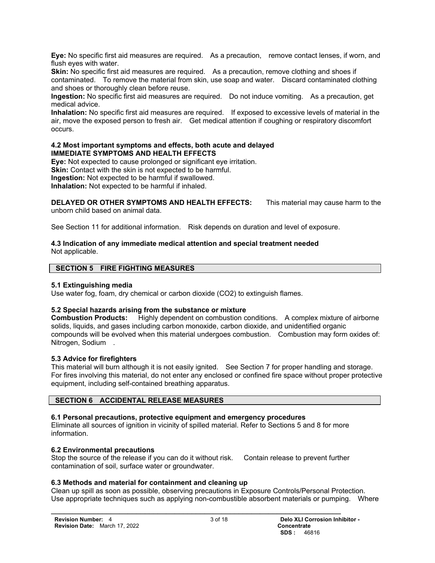**Eye:** No specific first aid measures are required. As a precaution, remove contact lenses, if worn, and flush eyes with water.

**Skin:** No specific first aid measures are required. As a precaution, remove clothing and shoes if contaminated. To remove the material from skin, use soap and water. Discard contaminated clothing and shoes or thoroughly clean before reuse.

**Ingestion:** No specific first aid measures are required. Do not induce vomiting. As a precaution, get medical advice.

**Inhalation:** No specific first aid measures are required. If exposed to excessive levels of material in the air, move the exposed person to fresh air. Get medical attention if coughing or respiratory discomfort occurs.

#### **4.2 Most important symptoms and effects, both acute and delayed IMMEDIATE SYMPTOMS AND HEALTH EFFECTS**

**Eye:** Not expected to cause prolonged or significant eye irritation.

**Skin:** Contact with the skin is not expected to be harmful.

**Ingestion:** Not expected to be harmful if swallowed.

**Inhalation:** Not expected to be harmful if inhaled.

**DELAYED OR OTHER SYMPTOMS AND HEALTH EFFECTS:** This material may cause harm to the unborn child based on animal data.

See Section 11 for additional information. Risk depends on duration and level of exposure.

#### **4.3 Indication of any immediate medical attention and special treatment needed**  Not applicable.

#### **SECTION 5 FIRE FIGHTING MEASURES**

#### **5.1 Extinguishing media**

Use water fog, foam, dry chemical or carbon dioxide (CO2) to extinguish flames.

#### **5.2 Special hazards arising from the substance or mixture**

**Combustion Products:** Highly dependent on combustion conditions. A complex mixture of airborne solids, liquids, and gases including carbon monoxide, carbon dioxide, and unidentified organic compounds will be evolved when this material undergoes combustion. Combustion may form oxides of: Nitrogen, Sodium .

## **5.3 Advice for firefighters**

This material will burn although it is not easily ignited. See Section 7 for proper handling and storage. For fires involving this material, do not enter any enclosed or confined fire space without proper protective equipment, including self-contained breathing apparatus.

# **SECTION 6 ACCIDENTAL RELEASE MEASURES**

# **6.1 Personal precautions, protective equipment and emergency procedures**

Eliminate all sources of ignition in vicinity of spilled material. Refer to Sections 5 and 8 for more information.

## **6.2 Environmental precautions**

Stop the source of the release if you can do it without risk. Contain release to prevent further contamination of soil, surface water or groundwater.

**\_\_\_\_\_\_\_\_\_\_\_\_\_\_\_\_\_\_\_\_\_\_\_\_\_\_\_\_\_\_\_\_\_\_\_\_\_\_\_\_\_\_\_\_\_\_\_\_\_\_\_\_\_\_\_\_\_\_\_\_\_\_\_\_\_\_\_\_**

#### **6.3 Methods and material for containment and cleaning up**

Clean up spill as soon as possible, observing precautions in Exposure Controls/Personal Protection. Use appropriate techniques such as applying non-combustible absorbent materials or pumping. Where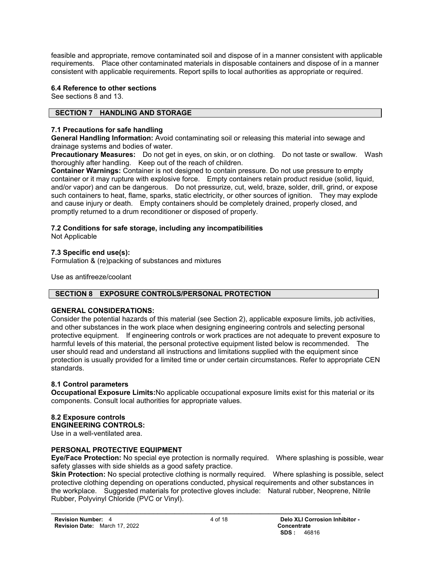feasible and appropriate, remove contaminated soil and dispose of in a manner consistent with applicable requirements. Place other contaminated materials in disposable containers and dispose of in a manner consistent with applicable requirements. Report spills to local authorities as appropriate or required.

# **6.4 Reference to other sections**

See sections 8 and 13.

# **SECTION 7 HANDLING AND STORAGE**

# **7.1 Precautions for safe handling**

**General Handling Information:** Avoid contaminating soil or releasing this material into sewage and drainage systems and bodies of water.

**Precautionary Measures:** Do not get in eyes, on skin, or on clothing. Do not taste or swallow. Wash thoroughly after handling. Keep out of the reach of children.

**Container Warnings:** Container is not designed to contain pressure. Do not use pressure to empty container or it may rupture with explosive force. Empty containers retain product residue (solid, liquid, and/or vapor) and can be dangerous. Do not pressurize, cut, weld, braze, solder, drill, grind, or expose such containers to heat, flame, sparks, static electricity, or other sources of ignition. They may explode and cause injury or death. Empty containers should be completely drained, properly closed, and promptly returned to a drum reconditioner or disposed of properly.

# **7.2 Conditions for safe storage, including any incompatibilities**

Not Applicable

## **7.3 Specific end use(s):**

Formulation & (re)packing of substances and mixtures

Use as antifreeze/coolant

# **SECTION 8 EXPOSURE CONTROLS/PERSONAL PROTECTION**

## **GENERAL CONSIDERATIONS:**

Consider the potential hazards of this material (see Section 2), applicable exposure limits, job activities, and other substances in the work place when designing engineering controls and selecting personal protective equipment. If engineering controls or work practices are not adequate to prevent exposure to harmful levels of this material, the personal protective equipment listed below is recommended. The user should read and understand all instructions and limitations supplied with the equipment since protection is usually provided for a limited time or under certain circumstances. Refer to appropriate CEN standards.

## **8.1 Control parameters**

**Occupational Exposure Limits:**No applicable occupational exposure limits exist for this material or its components. Consult local authorities for appropriate values.

# **8.2 Exposure controls**

#### **ENGINEERING CONTROLS:**

Use in a well-ventilated area.

## **PERSONAL PROTECTIVE EQUIPMENT**

**Eye/Face Protection:** No special eye protection is normally required. Where splashing is possible, wear safety glasses with side shields as a good safety practice.

**Skin Protection:** No special protective clothing is normally required. Where splashing is possible, select protective clothing depending on operations conducted, physical requirements and other substances in the workplace. Suggested materials for protective gloves include: Natural rubber, Neoprene, Nitrile Rubber, Polyvinyl Chloride (PVC or Vinyl).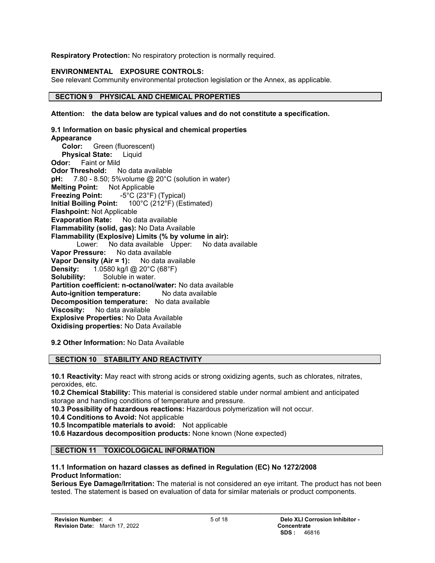**Respiratory Protection:** No respiratory protection is normally required.

# **ENVIRONMENTAL EXPOSURE CONTROLS:**

See relevant Community environmental protection legislation or the Annex, as applicable.

## **SECTION 9 PHYSICAL AND CHEMICAL PROPERTIES**

**Attention: the data below are typical values and do not constitute a specification.**

**9.1 Information on basic physical and chemical properties Appearance Color:** Green (fluorescent)  **Physical State:** Liquid **Odor:** Faint or Mild **Odor Threshold:** No data available **pH:** 7.80 - 8.50; 5% volume @ 20°C (solution in water) **Melting Point:** Not Applicable **Freezing Point:** -5°C (23°F) (Typical) **Initial Boiling Point:** 100°C (212°F) (Estimated) **Flashpoint:** Not Applicable **Evaporation Rate:** No data available **Flammability (solid, gas):** No Data Available **Flammability (Explosive) Limits (% by volume in air):** Lower: No data available Upper: No data available **Vapor Pressure:** No data available **Vapor Density (Air = 1):** No data available **Density:** 1.0580 kg/l @ 20°C (68°F) **Solubility:** Soluble in water. **Partition coefficient: n-octanol/water:** No data available **Auto-ignition temperature:** No data available **Decomposition temperature:** No data available **Viscosity:** No data available **Explosive Properties:** No Data Available **Oxidising properties:** No Data Available

**9.2 Other Information:** No Data Available

# **SECTION 10 STABILITY AND REACTIVITY**

**10.1 Reactivity:** May react with strong acids or strong oxidizing agents, such as chlorates, nitrates, peroxides, etc.

**10.2 Chemical Stability:** This material is considered stable under normal ambient and anticipated storage and handling conditions of temperature and pressure.

**10.3 Possibility of hazardous reactions:** Hazardous polymerization will not occur.

**10.4 Conditions to Avoid:** Not applicable

**10.5 Incompatible materials to avoid:** Not applicable

**10.6 Hazardous decomposition products:** None known (None expected)

# **SECTION 11 TOXICOLOGICAL INFORMATION**

## **11.1 Information on hazard classes as defined in Regulation (EC) No 1272/2008 Product Information:**

**\_\_\_\_\_\_\_\_\_\_\_\_\_\_\_\_\_\_\_\_\_\_\_\_\_\_\_\_\_\_\_\_\_\_\_\_\_\_\_\_\_\_\_\_\_\_\_\_\_\_\_\_\_\_\_\_\_\_\_\_\_\_\_\_\_\_\_\_**

**Serious Eye Damage/Irritation:** The material is not considered an eye irritant. The product has not been tested. The statement is based on evaluation of data for similar materials or product components.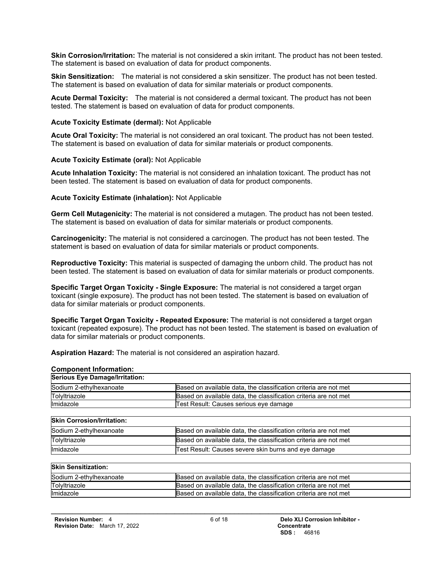**Skin Corrosion/Irritation:** The material is not considered a skin irritant. The product has not been tested. The statement is based on evaluation of data for product components.

**Skin Sensitization:** The material is not considered a skin sensitizer. The product has not been tested. The statement is based on evaluation of data for similar materials or product components.

**Acute Dermal Toxicity:** The material is not considered a dermal toxicant. The product has not been tested. The statement is based on evaluation of data for product components.

#### **Acute Toxicity Estimate (dermal):** Not Applicable

**Acute Oral Toxicity:** The material is not considered an oral toxicant. The product has not been tested. The statement is based on evaluation of data for similar materials or product components.

#### **Acute Toxicity Estimate (oral):** Not Applicable

**Acute Inhalation Toxicity:** The material is not considered an inhalation toxicant. The product has not been tested. The statement is based on evaluation of data for product components.

#### **Acute Toxicity Estimate (inhalation):** Not Applicable

**Germ Cell Mutagenicity:** The material is not considered a mutagen. The product has not been tested. The statement is based on evaluation of data for similar materials or product components.

**Carcinogenicity:** The material is not considered a carcinogen. The product has not been tested. The statement is based on evaluation of data for similar materials or product components.

**Reproductive Toxicity:** This material is suspected of damaging the unborn child. The product has not been tested. The statement is based on evaluation of data for similar materials or product components.

**Specific Target Organ Toxicity - Single Exposure:** The material is not considered a target organ toxicant (single exposure). The product has not been tested. The statement is based on evaluation of data for similar materials or product components.

**Specific Target Organ Toxicity - Repeated Exposure:** The material is not considered a target organ toxicant (repeated exposure). The product has not been tested. The statement is based on evaluation of data for similar materials or product components.

**Aspiration Hazard:** The material is not considered an aspiration hazard.

| <b>Component Information:</b>     |                                                                  |
|-----------------------------------|------------------------------------------------------------------|
| Serious Eye Damage/Irritation:    |                                                                  |
| Sodium 2-ethylhexanoate           | Based on available data, the classification criteria are not met |
| Tolyltriazole                     | Based on available data, the classification criteria are not met |
| Imidazole                         | Test Result: Causes serious eye damage                           |
|                                   |                                                                  |
| <b>Skin Corrosion/Irritation:</b> |                                                                  |
| Sodium 2-ethylhexanoate           | Based on available data, the classification criteria are not met |
| Tolyltriazole                     | Based on available data, the classification criteria are not met |
| Imidazole                         | Test Result: Causes severe skin burns and eye damage             |
|                                   |                                                                  |
| <b>Skin Sensitization:</b>        |                                                                  |
|                                   |                                                                  |

| Sodium 2-ethylhexanoate | Based on available data, the classification criteria are not met |
|-------------------------|------------------------------------------------------------------|
| Tolyltriazole           | Based on available data, the classification criteria are not met |
| Imidazole               | Based on available data, the classification criteria are not met |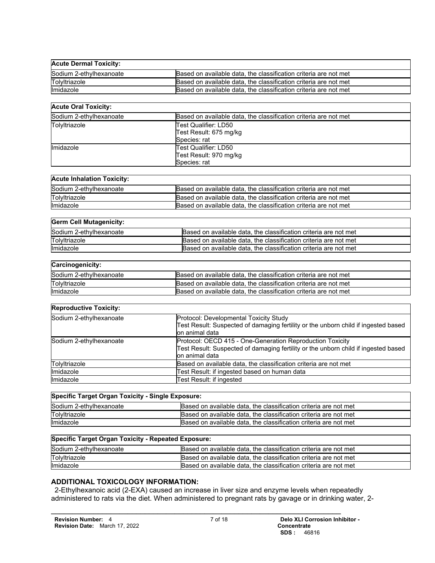| <b>Acute Dermal Toxicity:</b> |                                                                  |
|-------------------------------|------------------------------------------------------------------|
| Sodium 2-ethylhexanoate       | Based on available data, the classification criteria are not met |
| Tolyltriazole                 | Based on available data, the classification criteria are not met |
| <b>Imidazole</b>              | Based on available data, the classification criteria are not met |

#### **Acute Oral Toxicity:**

| Sodium 2-ethylhexanoate | Based on available data, the classification criteria are not met |  |
|-------------------------|------------------------------------------------------------------|--|
| Tolyltriazole           | Test Qualifier: LD50                                             |  |
|                         | Test Result: 675 mg/kg                                           |  |
|                         | Species: rat                                                     |  |
| <b>Imidazole</b>        | Test Qualifier: LD50                                             |  |
|                         | Test Result: 970 mg/kg                                           |  |
|                         | Species: rat                                                     |  |

#### **Acute Inhalation Toxicity:**

| Sodium 2-ethylhexanoate | Based on available data, the classification criteria are not met |
|-------------------------|------------------------------------------------------------------|
| Tolyltriazole           | Based on available data, the classification criteria are not met |
| <b>Imidazole</b>        | Based on available data, the classification criteria are not met |

| <b>Germ Cell Mutagenicity:</b> |                                                                  |
|--------------------------------|------------------------------------------------------------------|
| Sodium 2-ethylhexanoate        | Based on available data, the classification criteria are not met |
| Tolyltriazole                  | Based on available data, the classification criteria are not met |
| <b>Imidazole</b>               | Based on available data, the classification criteria are not met |
|                                |                                                                  |

#### **Carcinogenicity:**

| Sodium 2-ethylhexanoate | Based on available data, the classification criteria are not met |
|-------------------------|------------------------------------------------------------------|
| Tolyltriazole           | Based on available data, the classification criteria are not met |
| Imidazole               | Based on available data, the classification criteria are not met |

#### **Reproductive Toxicity:**

| Sodium 2-ethylhexanoate | Protocol: Developmental Toxicity Study<br>Test Result: Suspected of damaging fertility or the unborn child if ingested based<br>lon animal data                    |
|-------------------------|--------------------------------------------------------------------------------------------------------------------------------------------------------------------|
| Sodium 2-ethylhexanoate | Protocol: OECD 415 - One-Generation Reproduction Toxicity<br>Test Result: Suspected of damaging fertility or the unborn child if ingested based<br>lon animal data |
| Tolyltriazole           | Based on available data, the classification criteria are not met                                                                                                   |
| <b>Imidazole</b>        | Test Result: if ingested based on human data                                                                                                                       |
| <b>Imidazole</b>        | Test Result: if ingested                                                                                                                                           |

| Specific Target Organ Toxicity - Single Exposure: |                                                                  |  |
|---------------------------------------------------|------------------------------------------------------------------|--|
| Sodium 2-ethylhexanoate                           | Based on available data, the classification criteria are not met |  |
| Tolyltriazole                                     | Based on available data, the classification criteria are not met |  |
| Imidazole                                         | Based on available data, the classification criteria are not met |  |
|                                                   |                                                                  |  |

| Specific Target Organ Toxicity - Repeated Exposure: |                                                                  |  |
|-----------------------------------------------------|------------------------------------------------------------------|--|
| Sodium 2-ethylhexanoate                             | Based on available data, the classification criteria are not met |  |
| Tolvitriazole                                       | Based on available data, the classification criteria are not met |  |
| <b>Ilmidazole</b>                                   | Based on available data, the classification criteria are not met |  |

# **ADDITIONAL TOXICOLOGY INFORMATION:**

 2-Ethylhexanoic acid (2-EXA) caused an increase in liver size and enzyme levels when repeatedly administered to rats via the diet. When administered to pregnant rats by gavage or in drinking water, 2-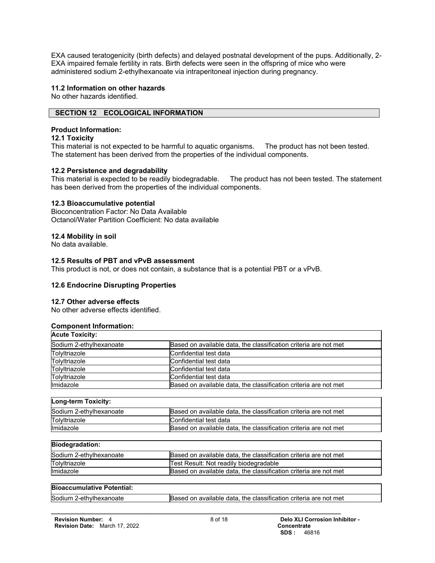EXA caused teratogenicity (birth defects) and delayed postnatal development of the pups. Additionally, 2- EXA impaired female fertility in rats. Birth defects were seen in the offspring of mice who were administered sodium 2-ethylhexanoate via intraperitoneal injection during pregnancy.

#### **11.2 Information on other hazards**

No other hazards identified.

## **SECTION 12 ECOLOGICAL INFORMATION**

#### **Product Information:**

#### **12.1 Toxicity**

This material is not expected to be harmful to aquatic organisms. The product has not been tested. The statement has been derived from the properties of the individual components.

#### **12.2 Persistence and degradability**

This material is expected to be readily biodegradable. The product has not been tested. The statement has been derived from the properties of the individual components.

#### **12.3 Bioaccumulative potential**

Bioconcentration Factor: No Data Available Octanol/Water Partition Coefficient: No data available

## **12.4 Mobility in soil**

No data available.

#### **12.5 Results of PBT and vPvB assessment**

This product is not, or does not contain, a substance that is a potential PBT or a vPvB.

#### **12.6 Endocrine Disrupting Properties**

## **12.7 Other adverse effects**

No other adverse effects identified.

#### **Component Information:**

| <b>Acute Toxicity:</b>  |                                                                  |
|-------------------------|------------------------------------------------------------------|
| Sodium 2-ethylhexanoate | Based on available data, the classification criteria are not met |
| Tolyltriazole           | Confidential test data                                           |
| Tolyltriazole           | Confidential test data                                           |
| Tolyltriazole           | Confidential test data                                           |
| Tolyltriazole           | Confidential test data                                           |
| <b>Imidazole</b>        | Based on available data, the classification criteria are not met |

| Long-term Toxicity:     |                                                                  |  |
|-------------------------|------------------------------------------------------------------|--|
| Sodium 2-ethylhexanoate | Based on available data, the classification criteria are not met |  |
| Tolyltriazole           | Confidential test data                                           |  |
| Imidazole               | Based on available data, the classification criteria are not met |  |

**Biodegradation:**

| Sodium 2-ethylhexanoate | Based on available data, the classification criteria are not met |
|-------------------------|------------------------------------------------------------------|
| Tolyltriazole           | Test Result: Not readily biodegradable                           |
| <b>Ilmidazole</b>       | Based on available data, the classification criteria are not met |
|                         |                                                                  |

| <b>Bioaccumulative Potential:</b> |                                                                  |
|-----------------------------------|------------------------------------------------------------------|
| Sodium 2-ethylhexanoate           | Based on available data, the classification criteria are not met |
|                                   |                                                                  |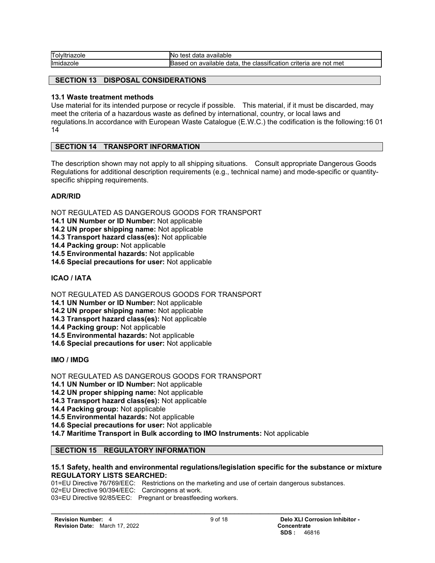| Tolyltriazole | available<br><b>INO</b><br>data<br>test                                                           |
|---------------|---------------------------------------------------------------------------------------------------|
| Imidazole     | . .<br>criteria<br>not met<br>are<br>available<br>. classification<br>the<br>data<br>on<br>lBased |

# **SECTION 13 DISPOSAL CONSIDERATIONS**

#### **13.1 Waste treatment methods**

Use material for its intended purpose or recycle if possible. This material, if it must be discarded, may meet the criteria of a hazardous waste as defined by international, country, or local laws and regulations.In accordance with European Waste Catalogue (E.W.C.) the codification is the following:16 01 14

#### **SECTION 14 TRANSPORT INFORMATION**

The description shown may not apply to all shipping situations. Consult appropriate Dangerous Goods Regulations for additional description requirements (e.g., technical name) and mode-specific or quantityspecific shipping requirements.

#### **ADR/RID**

NOT REGULATED AS DANGEROUS GOODS FOR TRANSPORT

**14.1 UN Number or ID Number:** Not applicable

**14.2 UN proper shipping name:** Not applicable

**14.3 Transport hazard class(es):** Not applicable

**14.4 Packing group:** Not applicable

**14.5 Environmental hazards:** Not applicable

**14.6 Special precautions for user:** Not applicable

# **ICAO / IATA**

NOT REGULATED AS DANGEROUS GOODS FOR TRANSPORT

**14.1 UN Number or ID Number:** Not applicable

**14.2 UN proper shipping name:** Not applicable

**14.3 Transport hazard class(es):** Not applicable

**14.4 Packing group:** Not applicable

**14.5 Environmental hazards:** Not applicable

**14.6 Special precautions for user:** Not applicable

**IMO / IMDG**

NOT REGULATED AS DANGEROUS GOODS FOR TRANSPORT

**14.1 UN Number or ID Number:** Not applicable

**14.2 UN proper shipping name:** Not applicable

**14.3 Transport hazard class(es):** Not applicable

**14.4 Packing group:** Not applicable

**14.5 Environmental hazards:** Not applicable

**14.6 Special precautions for user:** Not applicable

**14.7 Maritime Transport in Bulk according to IMO Instruments:** Not applicable

## **SECTION 15 REGULATORY INFORMATION**

#### **15.1 Safety, health and environmental regulations/legislation specific for the substance or mixture REGULATORY LISTS SEARCHED:**

01=EU Directive 76/769/EEC: Restrictions on the marketing and use of certain dangerous substances. 02=EU Directive 90/394/EEC: Carcinogens at work. 03=EU Directive 92/85/EEC: Pregnant or breastfeeding workers.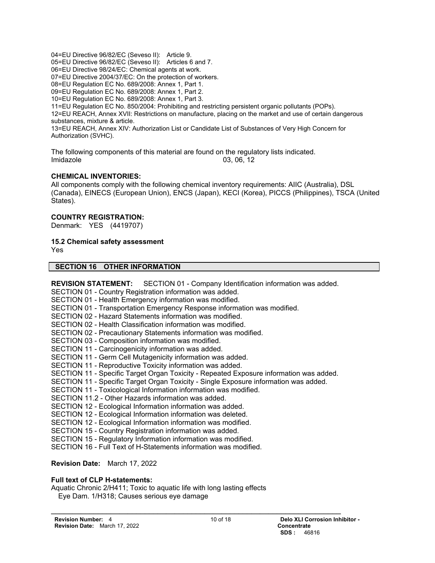04=EU Directive 96/82/EC (Seveso II): Article 9.

05=EU Directive 96/82/EC (Seveso II): Articles 6 and 7.

06=EU Directive 98/24/EC: Chemical agents at work.

07=EU Directive 2004/37/EC: On the protection of workers.

08=EU Regulation EC No. 689/2008: Annex 1, Part 1.

09=EU Regulation EC No. 689/2008: Annex 1, Part 2.

10=EU Regulation EC No. 689/2008: Annex 1, Part 3.

11=EU Regulation EC No. 850/2004: Prohibiting and restricting persistent organic pollutants (POPs).

12=EU REACH, Annex XVII: Restrictions on manufacture, placing on the market and use of certain dangerous substances, mixture & article.

13=EU REACH, Annex XIV: Authorization List or Candidate List of Substances of Very High Concern for Authorization (SVHC).

The following components of this material are found on the regulatory lists indicated. Imidazole 03, 06, 12

## **CHEMICAL INVENTORIES:**

All components comply with the following chemical inventory requirements: AIIC (Australia), DSL (Canada), EINECS (European Union), ENCS (Japan), KECI (Korea), PICCS (Philippines), TSCA (United States).

#### **COUNTRY REGISTRATION:**

Denmark: YES (4419707)

#### **15.2 Chemical safety assessment**

Yes

#### **SECTION 16 OTHER INFORMATION**

**REVISION STATEMENT:** SECTION 01 - Company Identification information was added.

SECTION 01 - Country Registration information was added.

SECTION 01 - Health Emergency information was modified.

SECTION 01 - Transportation Emergency Response information was modified.

SECTION 02 - Hazard Statements information was modified.

SECTION 02 - Health Classification information was modified.

- SECTION 02 Precautionary Statements information was modified.
- SECTION 03 Composition information was modified.
- SECTION 11 Carcinogenicity information was added.
- SECTION 11 Germ Cell Mutagenicity information was added.
- SECTION 11 Reproductive Toxicity information was added.
- SECTION 11 Specific Target Organ Toxicity Repeated Exposure information was added.
- SECTION 11 Specific Target Organ Toxicity Single Exposure information was added.
- SECTION 11 Toxicological Information information was modified.
- SECTION 11.2 Other Hazards information was added.
- SECTION 12 Ecological Information information was added.

SECTION 12 - Ecological Information information was deleted.

- SECTION 12 Ecological Information information was modified.
- SECTION 15 Country Registration information was added.
- SECTION 15 Regulatory Information information was modified.

SECTION 16 - Full Text of H-Statements information was modified.

#### **Revision Date:** March 17, 2022

#### **Full text of CLP H-statements:**

Aquatic Chronic 2/H411; Toxic to aquatic life with long lasting effects Eye Dam. 1/H318; Causes serious eye damage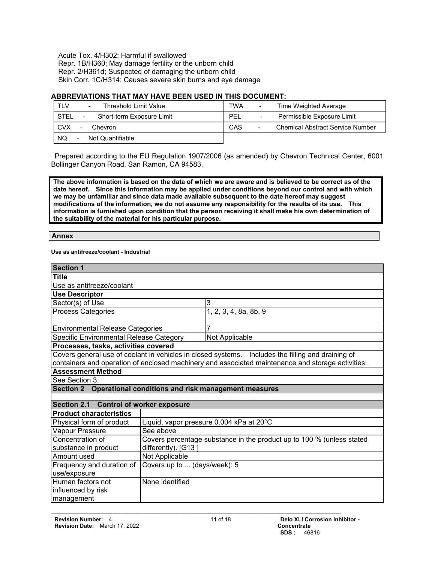Acute Tox. 4/H302; Harmful if swallowed Repr. 1B/H360; May damage fertility or the unborn child Repr. 2/H361d; Suspected of damaging the unborn child Skin Corr. 1C/H314; Causes severe skin burns and eye damage

#### **ABBREVIATIONS THAT MAY HAVE BEEN USED IN THIS DOCUMENT:**

| TLV                               | <b>TWA</b>                                          |
|-----------------------------------|-----------------------------------------------------|
| Threshold Limit Value             | Time Weighted Average                               |
| $\overline{\phantom{a}}$          | $\overline{\phantom{a}}$                            |
| STEL<br>Short-term Exposure Limit | PEL<br>Permissible Exposure Limit<br>$\blacksquare$ |
| <b>CVX</b>                        | CAS                                                 |
| Chevron                           | <b>Chemical Abstract Service Number</b>             |
| -                                 | -                                                   |
| <b>NQ</b><br>Not Quantifiable     |                                                     |

 Prepared according to the EU Regulation 1907/2006 (as amended) by Chevron Technical Center, 6001 Bollinger Canyon Road, San Ramon, CA 94583.

**The above information is based on the data of which we are aware and is believed to be correct as of the date hereof. Since this information may be applied under conditions beyond our control and with which we may be unfamiliar and since data made available subsequent to the date hereof may suggest modifications of the information, we do not assume any responsibility for the results of its use. This information is furnished upon condition that the person receiving it shall make his own determination of the suitability of the material for his particular purpose.**

**Annex**

**Use as antifreeze/coolant - Industrial**

| <b>Section 1</b>                                                                                  |                                                                       |                       |
|---------------------------------------------------------------------------------------------------|-----------------------------------------------------------------------|-----------------------|
| <b>Title</b>                                                                                      |                                                                       |                       |
| Use as antifreeze/coolant                                                                         |                                                                       |                       |
| <b>Use Descriptor</b>                                                                             |                                                                       |                       |
| Sector(s) of Use                                                                                  |                                                                       | 3                     |
| Process Categories                                                                                |                                                                       | 1, 2, 3, 4, 8a, 8b, 9 |
| <b>Environmental Release Categories</b>                                                           |                                                                       | 7                     |
| Specific Environmental Release Category                                                           |                                                                       | Not Applicable        |
| Processes, tasks, activities covered                                                              |                                                                       |                       |
| Covers general use of coolant in vehicles in closed systems. Includes the filling and draining of |                                                                       |                       |
| containers and operation of enclosed machinery and associated maintenance and storage activities. |                                                                       |                       |
| <b>Assessment Method</b>                                                                          |                                                                       |                       |
| See Section 3.                                                                                    |                                                                       |                       |
| <b>Section 2</b><br>Operational conditions and risk management measures                           |                                                                       |                       |
|                                                                                                   |                                                                       |                       |
| Section 2.1 Control of worker exposure                                                            |                                                                       |                       |
| <b>Product characteristics</b>                                                                    |                                                                       |                       |
| Physical form of product                                                                          | Liquid, vapor pressure 0.004 kPa at 20°C                              |                       |
| Vapour Pressure                                                                                   | See above                                                             |                       |
| Concentration of                                                                                  | Covers percentage substance in the product up to 100 % (unless stated |                       |
| substance in product                                                                              | differently). [G13]                                                   |                       |
| Amount used                                                                                       | Not Applicable                                                        |                       |
| Frequency and duration of                                                                         | Covers up to  (days/week): 5                                          |                       |
| use/exposure                                                                                      |                                                                       |                       |
| Human factors not                                                                                 | None identified                                                       |                       |
| influenced by risk                                                                                |                                                                       |                       |
| management                                                                                        |                                                                       |                       |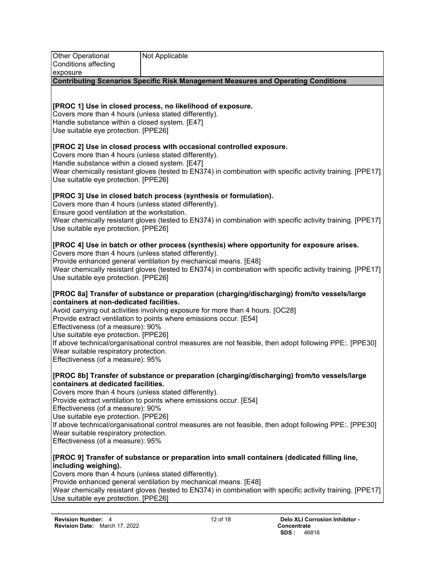| <b>Other Operational</b><br>Conditions affecting<br>exposure                                                                                                                                                                                                                                                                                                                                                                                                                                                                                                         | Not Applicable                                                                                                                                                                                                                                                                |  |  |
|----------------------------------------------------------------------------------------------------------------------------------------------------------------------------------------------------------------------------------------------------------------------------------------------------------------------------------------------------------------------------------------------------------------------------------------------------------------------------------------------------------------------------------------------------------------------|-------------------------------------------------------------------------------------------------------------------------------------------------------------------------------------------------------------------------------------------------------------------------------|--|--|
|                                                                                                                                                                                                                                                                                                                                                                                                                                                                                                                                                                      | <b>Contributing Scenarios Specific Risk Management Measures and Operating Conditions</b>                                                                                                                                                                                      |  |  |
|                                                                                                                                                                                                                                                                                                                                                                                                                                                                                                                                                                      |                                                                                                                                                                                                                                                                               |  |  |
| [PROC 1] Use in closed process, no likelihood of exposure.<br>Covers more than 4 hours (unless stated differently).<br>Handle substance within a closed system. [E47]<br>Use suitable eye protection. [PPE26]                                                                                                                                                                                                                                                                                                                                                        |                                                                                                                                                                                                                                                                               |  |  |
| [PROC 2] Use in closed process with occasional controlled exposure.<br>Covers more than 4 hours (unless stated differently).<br>Handle substance within a closed system. [E47]<br>Wear chemically resistant gloves (tested to EN374) in combination with specific activity training. [PPE17]<br>Use suitable eye protection. [PPE26]                                                                                                                                                                                                                                 |                                                                                                                                                                                                                                                                               |  |  |
| [PROC 3] Use in closed batch process (synthesis or formulation).<br>Covers more than 4 hours (unless stated differently).<br>Ensure good ventilation at the workstation.                                                                                                                                                                                                                                                                                                                                                                                             |                                                                                                                                                                                                                                                                               |  |  |
| Use suitable eye protection. [PPE26]                                                                                                                                                                                                                                                                                                                                                                                                                                                                                                                                 | Wear chemically resistant gloves (tested to EN374) in combination with specific activity training. [PPE17]                                                                                                                                                                    |  |  |
| [PROC 4] Use in batch or other process (synthesis) where opportunity for exposure arises.<br>Covers more than 4 hours (unless stated differently).<br>Provide enhanced general ventilation by mechanical means. [E48]<br>Wear chemically resistant gloves (tested to EN374) in combination with specific activity training. [PPE17]<br>Use suitable eye protection. [PPE26]                                                                                                                                                                                          |                                                                                                                                                                                                                                                                               |  |  |
| [PROC 8a] Transfer of substance or preparation (charging/discharging) from/to vessels/large<br>containers at non-dedicated facilities.<br>Avoid carrying out activities involving exposure for more than 4 hours. [OC28]<br>Provide extract ventilation to points where emissions occur. [E54]<br>Effectiveness (of a measure): 90%<br>Use suitable eye protection. [PPE26]<br>If above technical/organisational control measures are not feasible, then adopt following PPE:. [PPE30]<br>Wear suitable respiratory protection.<br>Effectiveness (of a measure): 95% |                                                                                                                                                                                                                                                                               |  |  |
| containers at dedicated facilities.<br>Covers more than 4 hours (unless stated differently).<br>Effectiveness (of a measure): 90%<br>Use suitable eye protection. [PPE26]<br>Wear suitable respiratory protection.<br>Effectiveness (of a measure): 95%                                                                                                                                                                                                                                                                                                              | [PROC 8b] Transfer of substance or preparation (charging/discharging) from/to vessels/large<br>Provide extract ventilation to points where emissions occur. [E54]<br>If above technical/organisational control measures are not feasible, then adopt following PPE:. [PPE30]  |  |  |
| including weighing).<br>Covers more than 4 hours (unless stated differently).<br>Use suitable eye protection. [PPE26]                                                                                                                                                                                                                                                                                                                                                                                                                                                | [PROC 9] Transfer of substance or preparation into small containers (dedicated filling line,<br>Provide enhanced general ventilation by mechanical means. [E48]<br>Wear chemically resistant gloves (tested to EN374) in combination with specific activity training. [PPE17] |  |  |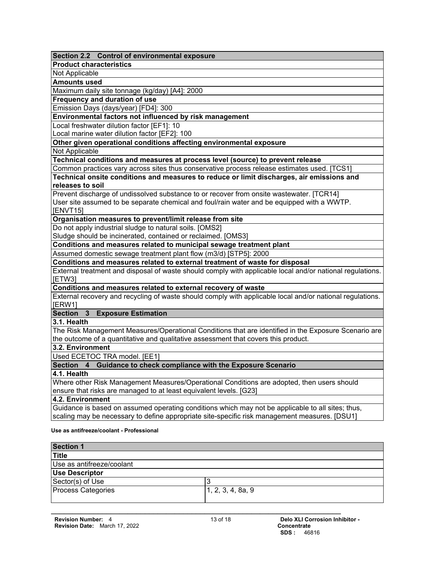| Section 2.2 Control of environmental exposure                                                                       |
|---------------------------------------------------------------------------------------------------------------------|
| <b>Product characteristics</b>                                                                                      |
| Not Applicable                                                                                                      |
| <b>Amounts used</b>                                                                                                 |
| Maximum daily site tonnage (kg/day) [A4]: 2000                                                                      |
| Frequency and duration of use                                                                                       |
| Emission Days (days/year) [FD4]: 300                                                                                |
| Environmental factors not influenced by risk management                                                             |
| Local freshwater dilution factor [EF1]: 10                                                                          |
| Local marine water dilution factor [EF2]: 100                                                                       |
| Other given operational conditions affecting environmental exposure                                                 |
| Not Applicable                                                                                                      |
| Technical conditions and measures at process level (source) to prevent release                                      |
| Common practices vary across sites thus conservative process release estimates used. [TCS1]                         |
| Technical onsite conditions and measures to reduce or limit discharges, air emissions and                           |
| releases to soil                                                                                                    |
| Prevent discharge of undissolved substance to or recover from onsite wastewater. [TCR14]                            |
| User site assumed to be separate chemical and foul/rain water and be equipped with a WWTP.                          |
| [ENVT15]                                                                                                            |
| Organisation measures to prevent/limit release from site                                                            |
| Do not apply industrial sludge to natural soils. [OMS2]                                                             |
| Sludge should be incinerated, contained or reclaimed. [OMS3]                                                        |
| Conditions and measures related to municipal sewage treatment plant                                                 |
| Assumed domestic sewage treatment plant flow (m3/d) [STP5]: 2000                                                    |
| Conditions and measures related to external treatment of waste for disposal                                         |
| External treatment and disposal of waste should comply with applicable local and/or national regulations.<br>[ETW3] |
| Conditions and measures related to external recovery of waste                                                       |
| External recovery and recycling of waste should comply with applicable local and/or national regulations.<br>[ERW1] |
| Section 3<br><b>Exposure Estimation</b>                                                                             |
| 3.1. Health                                                                                                         |
| The Risk Management Measures/Operational Conditions that are identified in the Exposure Scenario are                |
| the outcome of a quantitative and qualitative assessment that covers this product.                                  |
| 3.2. Environment                                                                                                    |
| Used ECETOC TRA model. [EE1]                                                                                        |
| Section 4 Guidance to check compliance with the Exposure Scenario                                                   |
| 4.1. Health                                                                                                         |
| Where other Risk Management Measures/Operational Conditions are adopted, then users should                          |
| ensure that risks are managed to at least equivalent levels. [G23]                                                  |
| 4.2. Environment                                                                                                    |
| Guidance is based on assumed operating conditions which may not be applicable to all sites; thus,                   |
| scaling may be necessary to define appropriate site-specific risk management measures. [DSU1]                       |
| Use as antifreeze/coolant - Professional                                                                            |

| <b>Section 1</b>          |                   |  |
|---------------------------|-------------------|--|
| <b>Title</b>              |                   |  |
| Use as antifreeze/coolant |                   |  |
| <b>Use Descriptor</b>     |                   |  |
| Sector(s) of Use          |                   |  |
| Process Categories        | 1, 2, 3, 4, 8a, 9 |  |
|                           |                   |  |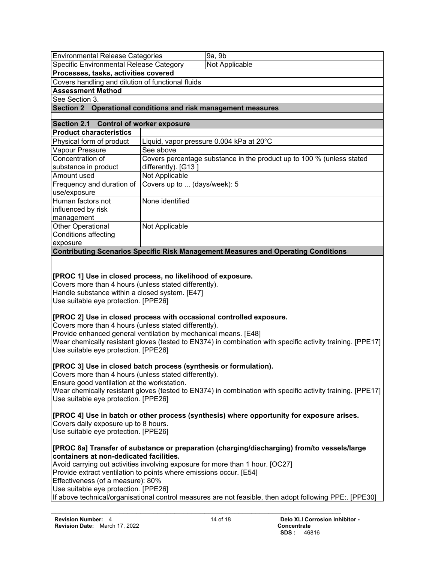| <b>Environmental Release Categories</b>                                                                                                             |                              | 9a, 9b                                                                                                     |
|-----------------------------------------------------------------------------------------------------------------------------------------------------|------------------------------|------------------------------------------------------------------------------------------------------------|
| Specific Environmental Release Category                                                                                                             |                              | Not Applicable                                                                                             |
| Processes, tasks, activities covered                                                                                                                |                              |                                                                                                            |
| Covers handling and dilution of functional fluids                                                                                                   |                              |                                                                                                            |
| <b>Assessment Method</b>                                                                                                                            |                              |                                                                                                            |
| See Section 3.                                                                                                                                      |                              |                                                                                                            |
| Section 2 Operational conditions and risk management measures                                                                                       |                              |                                                                                                            |
|                                                                                                                                                     |                              |                                                                                                            |
| Section 2.1 Control of worker exposure                                                                                                              |                              |                                                                                                            |
| <b>Product characteristics</b>                                                                                                                      |                              |                                                                                                            |
| Physical form of product                                                                                                                            |                              | Liquid, vapor pressure 0.004 kPa at 20°C                                                                   |
| Vapour Pressure                                                                                                                                     | See above                    |                                                                                                            |
| Concentration of                                                                                                                                    |                              | Covers percentage substance in the product up to 100 % (unless stated                                      |
| substance in product                                                                                                                                | differently). [G13]          |                                                                                                            |
| Amount used                                                                                                                                         | Not Applicable               |                                                                                                            |
| Frequency and duration of                                                                                                                           | Covers up to  (days/week): 5 |                                                                                                            |
| use/exposure                                                                                                                                        |                              |                                                                                                            |
| Human factors not                                                                                                                                   | None identified              |                                                                                                            |
| influenced by risk                                                                                                                                  |                              |                                                                                                            |
| management                                                                                                                                          |                              |                                                                                                            |
| <b>Other Operational</b>                                                                                                                            | Not Applicable               |                                                                                                            |
| <b>Conditions affecting</b>                                                                                                                         |                              |                                                                                                            |
| exposure                                                                                                                                            |                              |                                                                                                            |
|                                                                                                                                                     |                              | <b>Contributing Scenarios Specific Risk Management Measures and Operating Conditions</b>                   |
|                                                                                                                                                     |                              |                                                                                                            |
|                                                                                                                                                     |                              |                                                                                                            |
| [PROC 1] Use in closed process, no likelihood of exposure.                                                                                          |                              |                                                                                                            |
| Covers more than 4 hours (unless stated differently).<br>Handle substance within a closed system. [E47]                                             |                              |                                                                                                            |
| Use suitable eye protection. [PPE26]                                                                                                                |                              |                                                                                                            |
|                                                                                                                                                     |                              |                                                                                                            |
| [PROC 2] Use in closed process with occasional controlled exposure.                                                                                 |                              |                                                                                                            |
| Covers more than 4 hours (unless stated differently).                                                                                               |                              |                                                                                                            |
| Provide enhanced general ventilation by mechanical means. [E48]                                                                                     |                              |                                                                                                            |
|                                                                                                                                                     |                              | Wear chemically resistant gloves (tested to EN374) in combination with specific activity training. [PPE17] |
| Use suitable eye protection. [PPE26]                                                                                                                |                              |                                                                                                            |
|                                                                                                                                                     |                              |                                                                                                            |
| [PROC 3] Use in closed batch process (synthesis or formulation).                                                                                    |                              |                                                                                                            |
| Covers more than 4 hours (unless stated differently).                                                                                               |                              |                                                                                                            |
| Ensure good ventilation at the workstation.                                                                                                         |                              |                                                                                                            |
|                                                                                                                                                     |                              | Wear chemically resistant gloves (tested to EN374) in combination with specific activity training. [PPE17] |
| Use suitable eye protection. [PPE26]                                                                                                                |                              |                                                                                                            |
|                                                                                                                                                     |                              |                                                                                                            |
| [PROC 4] Use in batch or other process (synthesis) where opportunity for exposure arises.                                                           |                              |                                                                                                            |
| Covers daily exposure up to 8 hours.                                                                                                                |                              |                                                                                                            |
| Use suitable eye protection. [PPE26]                                                                                                                |                              |                                                                                                            |
| [PROC 8a] Transfer of substance or preparation (charging/discharging) from/to vessels/large                                                         |                              |                                                                                                            |
|                                                                                                                                                     |                              |                                                                                                            |
| containers at non-dedicated facilities.                                                                                                             |                              |                                                                                                            |
| Avoid carrying out activities involving exposure for more than 1 hour. [OC27]<br>Provide extract ventilation to points where emissions occur. [E54] |                              |                                                                                                            |
| Effectiveness (of a measure): 80%                                                                                                                   |                              |                                                                                                            |
| Use suitable eye protection. [PPE26]                                                                                                                |                              |                                                                                                            |
| If above technical/organisational control measures are not feasible, then adopt following PPE:. [PPE30]                                             |                              |                                                                                                            |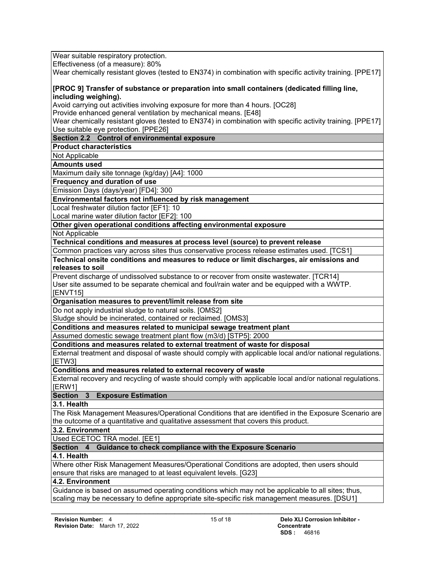Wear suitable respiratory protection.

Effectiveness (of a measure): 80%

Wear chemically resistant gloves (tested to EN374) in combination with specific activity training. [PPE17]

**[PROC 9] Transfer of substance or preparation into small containers (dedicated filling line, including weighing).**

Avoid carrying out activities involving exposure for more than 4 hours. [OC28]

Provide enhanced general ventilation by mechanical means. [E48]

Wear chemically resistant gloves (tested to EN374) in combination with specific activity training. [PPE17] Use suitable eye protection. [PPE26]

# **Section 2.2 Control of environmental exposure**

**Product characteristics**

Not Applicable

**Amounts used**

Maximum daily site tonnage (kg/day) [A4]: 1000

**Frequency and duration of use**

Emission Days (days/year) [FD4]: 300

## **Environmental factors not influenced by risk management**

Local freshwater dilution factor [EF1]: 10

Local marine water dilution factor [EF2]: 100

# **Other given operational conditions affecting environmental exposure**

Not Applicable

**Technical conditions and measures at process level (source) to prevent release**

Common practices vary across sites thus conservative process release estimates used. [TCS1]

#### **Technical onsite conditions and measures to reduce or limit discharges, air emissions and releases to soil**

Prevent discharge of undissolved substance to or recover from onsite wastewater. [TCR14] User site assumed to be separate chemical and foul/rain water and be equipped with a WWTP. [ENVT15]

#### **Organisation measures to prevent/limit release from site**

Do not apply industrial sludge to natural soils. [OMS2]

Sludge should be incinerated, contained or reclaimed. [OMS3]

**Conditions and measures related to municipal sewage treatment plant**

Assumed domestic sewage treatment plant flow (m3/d) [STP5]: 2000

**Conditions and measures related to external treatment of waste for disposal**

External treatment and disposal of waste should comply with applicable local and/or national regulations. [ETW3]

**Conditions and measures related to external recovery of waste**

External recovery and recycling of waste should comply with applicable local and/or national regulations. [ERW1]

# **Section 3 Exposure Estimation**

**3.1. Health**

The Risk Management Measures/Operational Conditions that are identified in the Exposure Scenario are the outcome of a quantitative and qualitative assessment that covers this product.

## **3.2. Environment**

Used ECETOC TRA model. [EE1]

# **Section 4 Guidance to check compliance with the Exposure Scenario**

## **4.1. Health**

Where other Risk Management Measures/Operational Conditions are adopted, then users should ensure that risks are managed to at least equivalent levels. [G23]

# **4.2. Environment**

Guidance is based on assumed operating conditions which may not be applicable to all sites; thus, scaling may be necessary to define appropriate site-specific risk management measures. [DSU1]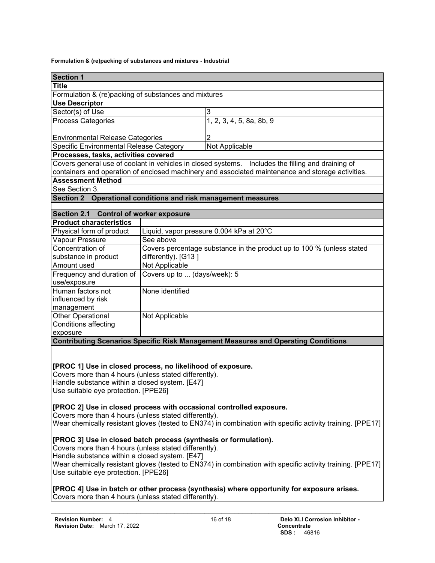#### **Formulation & (re)packing of substances and mixtures - Industrial**

| <b>Section 1</b>                                                                                           |                                                |                                                                                                   |  |
|------------------------------------------------------------------------------------------------------------|------------------------------------------------|---------------------------------------------------------------------------------------------------|--|
| <b>Title</b>                                                                                               |                                                |                                                                                                   |  |
| Formulation & (re)packing of substances and mixtures                                                       |                                                |                                                                                                   |  |
| <b>Use Descriptor</b>                                                                                      |                                                |                                                                                                   |  |
| Sector(s) of Use                                                                                           |                                                | 3                                                                                                 |  |
| <b>Process Categories</b>                                                                                  |                                                | 1, 2, 3, 4, 5, 8a, 8b, 9                                                                          |  |
| <b>Environmental Release Categories</b>                                                                    |                                                | 2                                                                                                 |  |
| Specific Environmental Release Category                                                                    |                                                | Not Applicable                                                                                    |  |
| Processes, tasks, activities covered                                                                       |                                                |                                                                                                   |  |
|                                                                                                            |                                                | Covers general use of coolant in vehicles in closed systems. Includes the filling and draining of |  |
|                                                                                                            |                                                | containers and operation of enclosed machinery and associated maintenance and storage activities. |  |
| <b>Assessment Method</b>                                                                                   |                                                |                                                                                                   |  |
| See Section 3.                                                                                             |                                                |                                                                                                   |  |
| Section 2 Operational conditions and risk management measures                                              |                                                |                                                                                                   |  |
|                                                                                                            |                                                |                                                                                                   |  |
| Section 2.1                                                                                                | <b>Control of worker exposure</b>              |                                                                                                   |  |
| <b>Product characteristics</b>                                                                             |                                                |                                                                                                   |  |
| Physical form of product                                                                                   |                                                | Liquid, vapor pressure 0.004 kPa at 20°C                                                          |  |
| Vapour Pressure                                                                                            | See above                                      |                                                                                                   |  |
| Concentration of                                                                                           |                                                | Covers percentage substance in the product up to 100 % (unless stated                             |  |
| substance in product                                                                                       | differently). [G13]                            |                                                                                                   |  |
| Amount used                                                                                                | Not Applicable                                 |                                                                                                   |  |
| Frequency and duration of                                                                                  | Covers up to  (days/week): 5                   |                                                                                                   |  |
| use/exposure                                                                                               |                                                |                                                                                                   |  |
| Human factors not                                                                                          | None identified                                |                                                                                                   |  |
| influenced by risk                                                                                         |                                                |                                                                                                   |  |
| management                                                                                                 |                                                |                                                                                                   |  |
| Other Operational                                                                                          | Not Applicable                                 |                                                                                                   |  |
| Conditions affecting                                                                                       |                                                |                                                                                                   |  |
| exposure                                                                                                   |                                                | <b>Contributing Scenarios Specific Risk Management Measures and Operating Conditions</b>          |  |
|                                                                                                            |                                                |                                                                                                   |  |
|                                                                                                            |                                                |                                                                                                   |  |
| [PROC 1] Use in closed process, no likelihood of exposure.                                                 |                                                |                                                                                                   |  |
| Covers more than 4 hours (unless stated differently).                                                      |                                                |                                                                                                   |  |
| Handle substance within a closed system. [E47]                                                             |                                                |                                                                                                   |  |
| Use suitable eye protection. [PPE26]                                                                       |                                                |                                                                                                   |  |
|                                                                                                            |                                                |                                                                                                   |  |
| [PROC 2] Use in closed process with occasional controlled exposure.                                        |                                                |                                                                                                   |  |
| Covers more than 4 hours (unless stated differently).                                                      |                                                |                                                                                                   |  |
| Wear chemically resistant gloves (tested to EN374) in combination with specific activity training. [PPE17] |                                                |                                                                                                   |  |
|                                                                                                            |                                                |                                                                                                   |  |
| [PROC 3] Use in closed batch process (synthesis or formulation).                                           |                                                |                                                                                                   |  |
| Covers more than 4 hours (unless stated differently).                                                      |                                                |                                                                                                   |  |
|                                                                                                            | Handle substance within a closed system. [E47] |                                                                                                   |  |
| Wear chemically resistant gloves (tested to EN374) in combination with specific activity training. [PPE17] |                                                |                                                                                                   |  |
| Use suitable eye protection. [PPE26]                                                                       |                                                |                                                                                                   |  |
|                                                                                                            |                                                |                                                                                                   |  |
|                                                                                                            |                                                | [PROC 4] Use in batch or other process (synthesis) where opportunity for exposure arises.         |  |
| Covers more than 4 hours (unless stated differently).                                                      |                                                |                                                                                                   |  |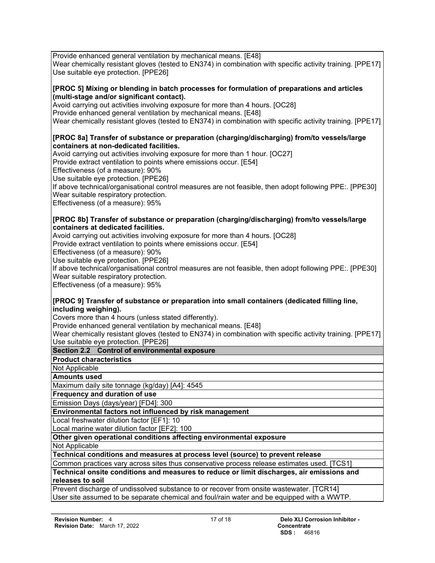Provide enhanced general ventilation by mechanical means. [E48] Wear chemically resistant gloves (tested to EN374) in combination with specific activity training. [PPE17] Use suitable eye protection. [PPE26]

## **[PROC 5] Mixing or blending in batch processes for formulation of preparations and articles (multi-stage and/or significant contact).**

Avoid carrying out activities involving exposure for more than 4 hours. [OC28] Provide enhanced general ventilation by mechanical means. [E48] Wear chemically resistant gloves (tested to EN374) in combination with specific activity training. [PPE17]

## **[PROC 8a] Transfer of substance or preparation (charging/discharging) from/to vessels/large containers at non-dedicated facilities.**

Avoid carrying out activities involving exposure for more than 1 hour. [OC27]

Provide extract ventilation to points where emissions occur. [E54]

Effectiveness (of a measure): 90%

Use suitable eye protection. [PPE26]

If above technical/organisational control measures are not feasible, then adopt following PPE:. [PPE30] Wear suitable respiratory protection.

Effectiveness (of a measure): 95%

# **[PROC 8b] Transfer of substance or preparation (charging/discharging) from/to vessels/large containers at dedicated facilities.**

Avoid carrying out activities involving exposure for more than 4 hours. [OC28]

Provide extract ventilation to points where emissions occur. [E54]

Effectiveness (of a measure): 90%

Use suitable eye protection. [PPE26]

If above technical/organisational control measures are not feasible, then adopt following PPE:. [PPE30] Wear suitable respiratory protection.

Effectiveness (of a measure): 95%

# **[PROC 9] Transfer of substance or preparation into small containers (dedicated filling line, including weighing).**

Covers more than 4 hours (unless stated differently).

Provide enhanced general ventilation by mechanical means. [E48]

Wear chemically resistant gloves (tested to EN374) in combination with specific activity training. [PPE17] Use suitable eye protection. [PPE26]

# **Section 2.2 Control of environmental exposure**

**Product characteristics**

Not Applicable

**Amounts used**

Maximum daily site tonnage (kg/day) [A4]: 4545

**Frequency and duration of use**

Emission Days (days/year) [FD4]: 300

**Environmental factors not influenced by risk management**

Local freshwater dilution factor [EF1]: 10

Local marine water dilution factor [EF2]: 100

**Other given operational conditions affecting environmental exposure**

Not Applicable

**Technical conditions and measures at process level (source) to prevent release**

Common practices vary across sites thus conservative process release estimates used. [TCS1]

**Technical onsite conditions and measures to reduce or limit discharges, air emissions and releases to soil**

Prevent discharge of undissolved substance to or recover from onsite wastewater. [TCR14] User site assumed to be separate chemical and foul/rain water and be equipped with a WWTP.